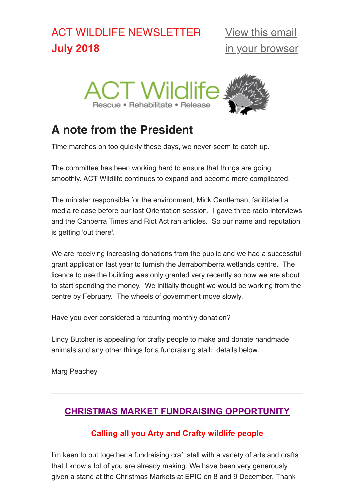# ACT WILDLIFE NEWSLETTER **July 2018**



# **A note from the President**

Time marches on too quickly these days, we never seem to catch up.

The committee has been working hard to ensure that things are going smoothly. ACT Wildlife continues to expand and become more complicated.

The minister responsible for the environment, Mick Gentleman, facilitated a media release before our last Orientation session. I gave three radio interviews and the Canberra Times and Riot Act ran articles. So our name and reputation is getting 'out there'.

We are receiving increasing donations from the public and we had a successful grant application last year to furnish the Jerrabomberra wetlands centre. The licence to use the building was only granted very recently so now we are about to start spending the money. We initially thought we would be working from the centre by February. The wheels of government move slowly.

Have you ever considered a recurring monthly donation?

Lindy Butcher is appealing for crafty people to make and donate handmade animals and any other things for a fundraising stall: details below.

Marg Peachey

## **CHRISTMAS MARKET FUNDRAISING OPPORTUNITY**

## **Calling all you Arty and Crafty wildlife people**

I'm keen to put together a fundraising craft stall with a variety of arts and crafts that I know a lot of you are already making. We have been very generously given a stand at the Christmas Markets at EPIC on 8 and 9 December. Thank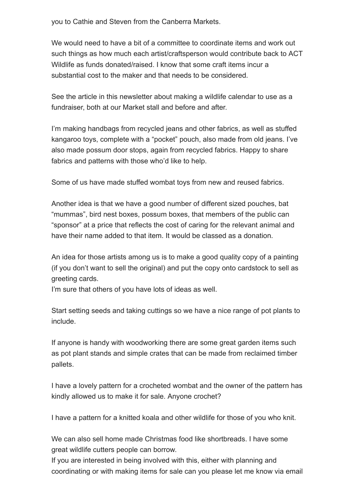you to Cathie and Steven from the Canberra Markets.

We would need to have a bit of a committee to coordinate items and work out such things as how much each artist/craftsperson would contribute back to ACT Wildlife as funds donated/raised. I know that some craft items incur a substantial cost to the maker and that needs to be considered.

See the article in this newsletter about making a wildlife calendar to use as a fundraiser, both at our Market stall and before and after.

I'm making handbags from recycled jeans and other fabrics, as well as stuffed kangaroo toys, complete with a "pocket" pouch, also made from old jeans. I've also made possum door stops, again from recycled fabrics. Happy to share fabrics and patterns with those who'd like to help.

Some of us have made stuffed wombat toys from new and reused fabrics.

Another idea is that we have a good number of different sized pouches, bat "mummas", bird nest boxes, possum boxes, that members of the public can "sponsor" at a price that reflects the cost of caring for the relevant animal and have their name added to that item. It would be classed as a donation.

An idea for those artists among us is to make a good quality copy of a painting (if you don't want to sell the original) and put the copy onto cardstock to sell as greeting cards.

I'm sure that others of you have lots of ideas as well.

Start setting seeds and taking cuttings so we have a nice range of pot plants to include.

If anyone is handy with woodworking there are some great garden items such as pot plant stands and simple crates that can be made from reclaimed timber pallets.

I have a lovely pattern for a crocheted wombat and the owner of the pattern has kindly allowed us to make it for sale. Anyone crochet?

I have a pattern for a knitted koala and other wildlife for those of you who knit.

We can also sell home made Christmas food like shortbreads. I have some great wildlife cutters people can borrow.

If you are interested in being involved with this, either with planning and coordinating or with making items for sale can you please let me know via email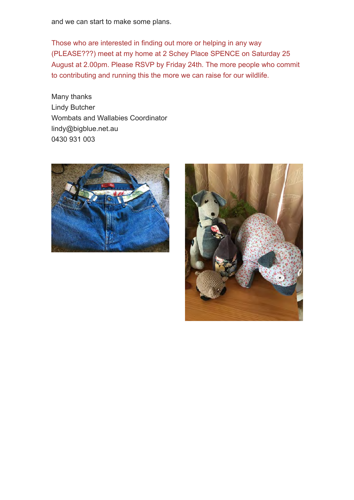and we can start to make some plans.

Those who are interested in finding out more or helping in any way (PLEASE???) meet at my home at 2 Schey Place SPENCE on Saturday 25 August at 2.00pm. Please RSVP by Friday 24th. The more people who commit to contributing and running this the more we can raise for our wildlife.

Many thanks Lindy Butcher Wombats and Wallabies Coordinator lindy@bigblue.net.au 0430 931 003



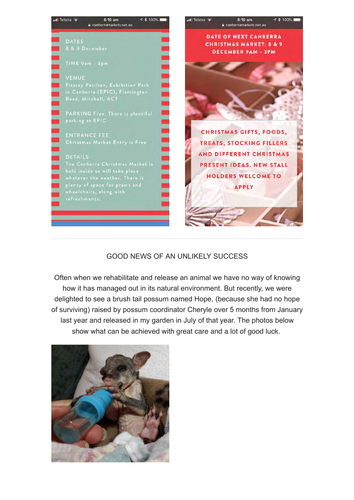

## GOOD NEWS OF AN UNLIKELY SUCCESS

Often when we rehabilitate and release an animal we have no way of knowing how it has managed out in its natural environment. But recently, we were delighted to see a brush tail possum named Hope, (because she had no hope of surviving) raised by possum coordinator Cheryle over 5 months from January last year and released in my garden in July of that year. The photos below show what can be achieved with great care and a lot of good luck.

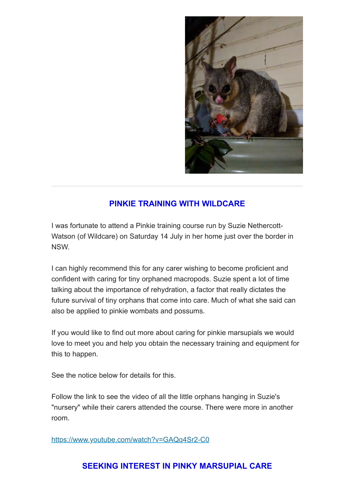

## **PINKIE TRAINING WITH WILDCARE**

I was fortunate to attend a Pinkie training course run by Suzie Nethercott-Watson (of Wildcare) on Saturday 14 July in her home just over the border in NSW.

I can highly recommend this for any carer wishing to become proficient and confident with caring for tiny orphaned macropods. Suzie spent a lot of time talking about the importance of rehydration, a factor that really dictates the future survival of tiny orphans that come into care. Much of what she said can also be applied to pinkie wombats and possums.

If you would like to find out more about caring for pinkie marsupials we would love to meet you and help you obtain the necessary training and equipment for this to happen.

See the notice below for details for this.

Follow the link to see the video of all the little orphans hanging in Suzie's "nursery" while their carers attended the course. There were more in another room.

<https://www.youtube.com/watch?v=GAQq4Sr2-C0>

## **SEEKING INTEREST IN PINKY MARSUPIAL CARE**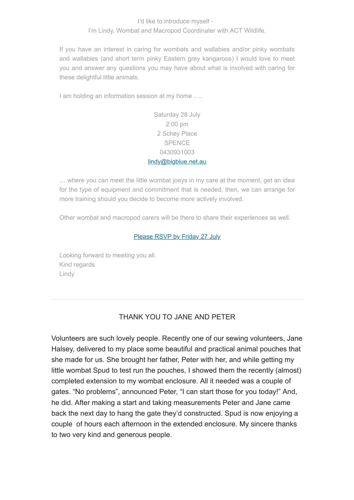#### I'd like to introduce myself - I'm Lindy, Wombat and Macropod Coordinater with ACT Wildlife.

If you have an interest in caring for wombats and wallabies and/or pinky wombats and wallabies (and short term pinky Eastern grey kangaroos) I would love to meet you and answer any questions you may have about what is involved with caring for these delightful little animals.

I am holding an information session at my home ….

### Saturday 28 July 2:00 pm 2 Schey Place **SPENCE** 0430931003 [lindy@bigblue.net.au](mailto:lindy@bigblue.net.au)

… where you can meet the little wombat joeys in my care at the moment, get an idea for the type of equipment and commitment that is needed, then, we can arrange for more training should you decide to become more actively involved.

Other wombat and macropod carers will be there to share their experiences as well.

#### [Please RSVP by Friday 27 July](mailto:lindy@bigblue.net.au?subject=Interested%20in%20pinky%20care)

Looking forward to meeting you all. Kind regards Lindy

### THANK YOU TO JANE AND PETER

Volunteers are such lovely people. Recently one of our sewing volunteers, Jane Halsey, delivered to my place some beautiful and practical animal pouches that she made for us. She brought her father, Peter with her, and while getting my little wombat Spud to test run the pouches, I showed them the recently (almost) completed extension to my wombat enclosure. All it needed was a couple of gates. "No problems", announced Peter, "I can start those for you today!" And, he did. After making a start and taking measurements Peter and Jane came back the next day to hang the gate they'd constructed. Spud is now enjoying a couple of hours each afternoon in the extended enclosure. My sincere thanks to two very kind and generous people.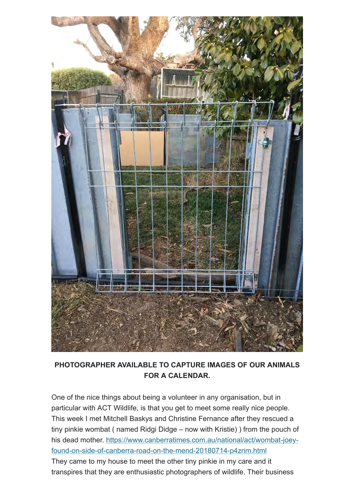

## **PHOTOGRAPHER AVAILABLE TO CAPTURE IMAGES OF OUR ANIMALS FOR A CALENDAR.**

One of the nice things about being a volunteer in any organisation, but in particular with ACT Wildlife, is that you get to meet some really nice people. This week I met Mitchell Baskys and Christine Fernance after they rescued a tiny pinkie wombat ( named Ridgi Didge – now with Kristie) ) from the pouch of his dead mother. https://www.canberratimes.com.au/national/act/wombat-joey[found-on-side-of-canberra-road-on-the-mend-20180714-p4zrim.html](https://www.canberratimes.com.au/national/act/wombat-joey-found-on-side-of-canberra-road-on-the-mend-20180714-p4zrim.html)

They came to my house to meet the other tiny pinkie in my care and it transpires that they are enthusiastic photographers of wildlife. Their business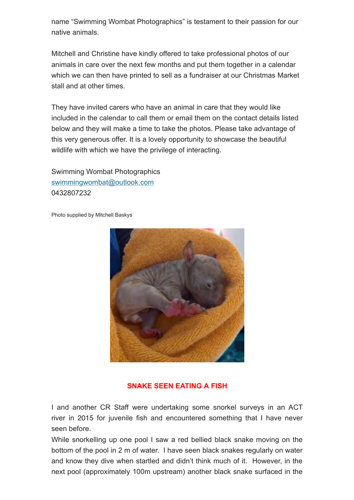name "Swimming Wombat Photographics" is testament to their passion for our native animals.

Mitchell and Christine have kindly offered to take professional photos of our animals in care over the next few months and put them together in a calendar which we can then have printed to sell as a fundraiser at our Christmas Market stall and at other times.

They have invited carers who have an animal in care that they would like included in the calendar to call them or email them on the contact details listed below and they will make a time to take the photos. Please take advantage of this very generous offer. It is a lovely opportunity to showcase the beautiful wildlife with which we have the privilege of interacting.

Swimming Wombat Photographics [swimmingwombat@outlook.com](mailto:swimmingwombat@outlook.com) 0432807232

Photo supplied by Mitchell Baskys



#### **SNAKE SEEN EATING A FISH**

I and another CR Staff were undertaking some snorkel surveys in an ACT river in 2015 for juvenile fish and encountered something that I have never seen before.

While snorkelling up one pool I saw a red bellied black snake moving on the bottom of the pool in 2 m of water. I have seen black snakes regularly on water and know they dive when startled and didn't think much of it. However, in the next pool (approximately 100m upstream) another black snake surfaced in the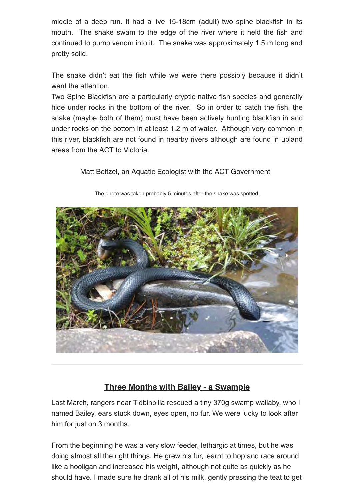middle of a deep run. It had a live 15-18cm (adult) two spine blackfish in its mouth. The snake swam to the edge of the river where it held the fish and continued to pump venom into it. The snake was approximately 1.5 m long and pretty solid.

The snake didn't eat the fish while we were there possibly because it didn't want the attention.

Two Spine Blackfish are a particularly cryptic native fish species and generally hide under rocks in the bottom of the river. So in order to catch the fish, the snake (maybe both of them) must have been actively hunting blackfish in and under rocks on the bottom in at least 1.2 m of water. Although very common in this river, blackfish are not found in nearby rivers although are found in upland areas from the ACT to Victoria.

Matt Beitzel, an Aquatic Ecologist with the ACT Government



The photo was taken probably 5 minutes after the snake was spotted.

## **Three Months with Bailey - a Swampie**

Last March, rangers near Tidbinbilla rescued a tiny 370g swamp wallaby, who I named Bailey, ears stuck down, eyes open, no fur. We were lucky to look after him for just on 3 months.

From the beginning he was a very slow feeder, lethargic at times, but he was doing almost all the right things. He grew his fur, learnt to hop and race around like a hooligan and increased his weight, although not quite as quickly as he should have. I made sure he drank all of his milk, gently pressing the teat to get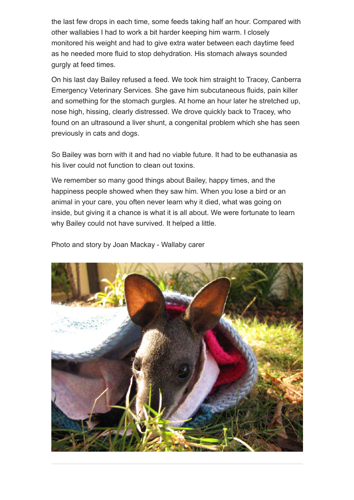the last few drops in each time, some feeds taking half an hour. Compared with other wallabies I had to work a bit harder keeping him warm. I closely monitored his weight and had to give extra water between each daytime feed as he needed more fluid to stop dehydration. His stomach always sounded gurgly at feed times.

On his last day Bailey refused a feed. We took him straight to Tracey, Canberra Emergency Veterinary Services. She gave him subcutaneous fluids, pain killer and something for the stomach gurgles. At home an hour later he stretched up, nose high, hissing, clearly distressed. We drove quickly back to Tracey, who found on an ultrasound a liver shunt, a congenital problem which she has seen previously in cats and dogs.

So Bailey was born with it and had no viable future. It had to be euthanasia as his liver could not function to clean out toxins.

We remember so many good things about Bailey, happy times, and the happiness people showed when they saw him. When you lose a bird or an animal in your care, you often never learn why it died, what was going on inside, but giving it a chance is what it is all about. We were fortunate to learn why Bailey could not have survived. It helped a little.

Photo and story by Joan Mackay - Wallaby carer

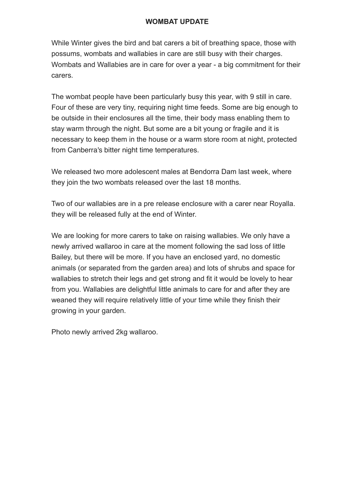#### **WOMBAT UPDATE**

While Winter gives the bird and bat carers a bit of breathing space, those with possums, wombats and wallabies in care are still busy with their charges. Wombats and Wallabies are in care for over a year - a big commitment for their carers.

The wombat people have been particularly busy this year, with 9 still in care. Four of these are very tiny, requiring night time feeds. Some are big enough to be outside in their enclosures all the time, their body mass enabling them to stay warm through the night. But some are a bit young or fragile and it is necessary to keep them in the house or a warm store room at night, protected from Canberra's bitter night time temperatures.

We released two more adolescent males at Bendorra Dam last week, where they join the two wombats released over the last 18 months.

Two of our wallabies are in a pre release enclosure with a carer near Royalla. they will be released fully at the end of Winter.

We are looking for more carers to take on raising wallabies. We only have a newly arrived wallaroo in care at the moment following the sad loss of little Bailey, but there will be more. If you have an enclosed yard, no domestic animals (or separated from the garden area) and lots of shrubs and space for wallabies to stretch their legs and get strong and fit it would be lovely to hear from you. Wallabies are delightful little animals to care for and after they are weaned they will require relatively little of your time while they finish their growing in your garden.

Photo newly arrived 2kg wallaroo.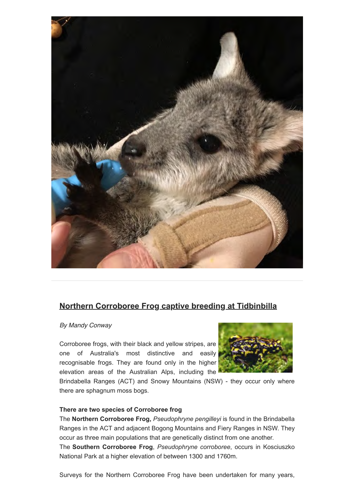

## **Northern Corroboree Frog captive breeding at Tidbinbilla**

*By Mandy Conway* 

Corroboree frogs, with their black and yellow stripes, are one of Australia's most distinctive and easily recognisable frogs. They are found only in the higher elevation areas of the Australian Alps, including the



Brindabella Ranges (ACT) and Snowy Mountains (NSW) - they occur only where there are sphagnum moss bogs.

#### **There are two species of Corroboree frog**

The **Northern Corroboree Frog,** *Pseudophryne pengilleyi* is found in the Brindabella Ranges in the ACT and adjacent Bogong Mountains and Fiery Ranges in NSW. They occur as three main populations that are genetically distinct from one another. The **Southern Corroboree Frog**, *Pseudophryne corroboree*, occurs in Kosciuszko National Park at a higher elevation of between 1300 and 1760m.

Surveys for the Northern Corroboree Frog have been undertaken for many years,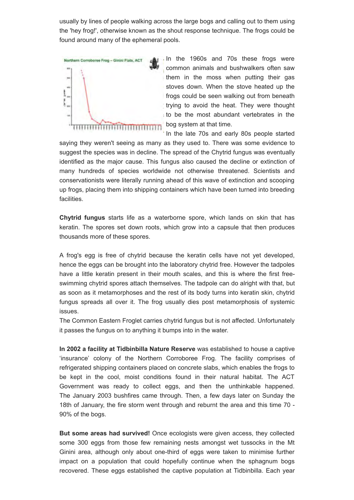usually by lines of people walking across the large bogs and calling out to them using the 'hey frog!', otherwise known as the shout response technique. The frogs could be found around many of the ephemeral pools.



In the 1960s and 70s these frogs were common animals and bushwalkers often saw them in the moss when putting their gas stoves down. When the stove heated up the frogs could be seen walking out from beneath trying to avoid the heat. They were thought to be the most abundant vertebrates in the bog system at that time.

In the late 70s and early 80s people started saying they weren't seeing as many as they used to. There was some evidence to suggest the species was in decline. The spread of the Chytrid fungus was eventually identified as the major cause. This fungus also caused the decline or extinction of many hundreds of species worldwide not otherwise threatened. Scientists and conservationists were literally running ahead of this wave of extinction and scooping up frogs, placing them into shipping containers which have been turned into breeding facilities.

**Chytrid fungus** starts life as a waterborne spore, which lands on skin that has keratin. The spores set down roots, which grow into a capsule that then produces thousands more of these spores.

A frog's egg is free of chytrid because the keratin cells have not yet developed, hence the eggs can be brought into the laboratory chytrid free. However the tadpoles have a little keratin present in their mouth scales, and this is where the first freeswimming chytrid spores attach themselves. The tadpole can do alright with that, but as soon as it metamorphoses and the rest of its body turns into keratin skin, chytrid fungus spreads all over it. The frog usually dies post metamorphosis of systemic issues.

The Common Eastern Froglet carries chytrid fungus but is not affected. Unfortunately it passes the fungus on to anything it bumps into in the water.

**In 2002 a facility at Tidbinbilla Nature Reserve** was established to house a captive 'insurance' colony of the Northern Corroboree Frog. The facility comprises of refrigerated shipping containers placed on concrete slabs, which enables the frogs to be kept in the cool, moist conditions found in their natural habitat. The ACT Government was ready to collect eggs, and then the unthinkable happened. The January 2003 bushfires came through. Then, a few days later on Sunday the 18th of January, the fire storm went through and reburnt the area and this time 70 - 90% of the bogs.

**But some areas had survived!** Once ecologists were given access, they collected some 300 eggs from those few remaining nests amongst wet tussocks in the Mt Ginini area, although only about one-third of eggs were taken to minimise further impact on a population that could hopefully continue when the sphagnum bogs recovered. These eggs established the captive population at Tidbinbilla. Each year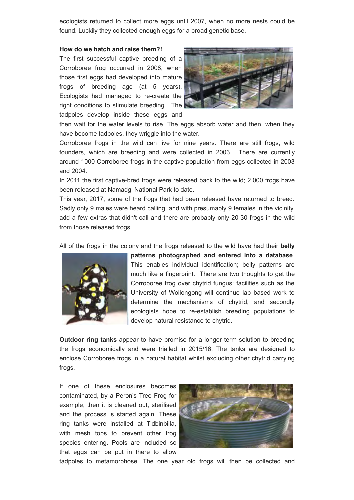ecologists returned to collect more eggs until 2007, when no more nests could be found. Luckily they collected enough eggs for a broad genetic base.

#### **How do we hatch and raise them?!**

The first successful captive breeding of a Corroboree frog occurred in 2008, when those first eggs had developed into mature frogs of breeding age (at 5 years). Ecologists had managed to re-create the right conditions to stimulate breeding. The tadpoles develop inside these eggs and



then wait for the water levels to rise. The eggs absorb water and then, when they have become tadpoles, they wriggle into the water.

Corroboree frogs in the wild can live for nine years. There are still frogs, wild founders, which are breeding and were collected in 2003. There are currently around 1000 Corroboree frogs in the captive population from eggs collected in 2003 and 2004.

In 2011 the first captive-bred frogs were released back to the wild; 2,000 frogs have been released at Namadgi National Park to date.

This year, 2017, some of the frogs that had been released have returned to breed. Sadly only 9 males were heard calling, and with presumably 9 females in the vicinity, add a few extras that didn't call and there are probably only 20-30 frogs in the wild from those released frogs.

All of the frogs in the colony and the frogs released to the wild have had their **belly**



**patterns photographed and entered into a database**. This enables individual identification; belly patterns are much like a fingerprint. There are two thoughts to get the Corroboree frog over chytrid fungus: facilities such as the University of Wollongong will continue lab based work to determine the mechanisms of chytrid, and secondly ecologists hope to re-establish breeding populations to develop natural resistance to chytrid.

**Outdoor ring tanks** appear to have promise for a longer term solution to breeding the frogs economically and were trialled in 2015/16. The tanks are designed to enclose Corroboree frogs in a natural habitat whilst excluding other chytrid carrying frogs.

If one of these enclosures becomes contaminated, by a Peron's Tree Frog for example, then it is cleaned out, sterilised and the process is started again. These ring tanks were installed at Tidbinbilla, with mesh tops to prevent other frog species entering. Pools are included so that eggs can be put in there to allow



tadpoles to metamorphose. The one year old frogs will then be collected and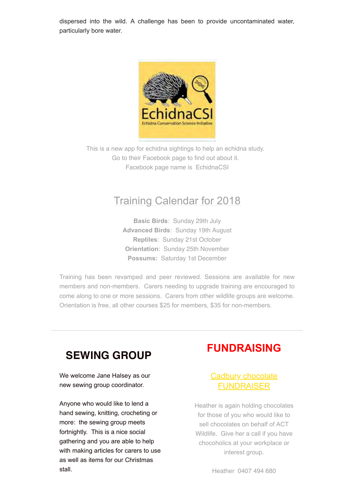dispersed into the wild. A challenge has been to provide uncontaminated water, particularly bore water.



This is a new app for echidna sightings to help an echidna study. Go to their Facebook page to find out about it. Facebook page name is EchidnaCSI

## Training Calendar for 2018

**Basic Birds**: Sunday 29th July **Advanced Birds**: Sunday 19th August **Reptiles**: Sunday 21st October **Orientation**: Sunday 25th November **Possums:** Saturday 1st December

Training has been revamped and peer reviewed. Sessions are available for new members and non-members. Carers needing to upgrade training are encouraged to come along to one or more sessions. Carers from other wildlife groups are welcome. Orientation is free, all other courses \$25 for members, \$35 for non-members.

# **SEWING GROUP**

We welcome Jane Halsey as our new sewing group coordinator.

Anyone who would like to lend a hand sewing, knitting, crocheting or more: the sewing group meets fortnightly. This is a nice social gathering and you are able to help with making articles for carers to use as well as items for our Christmas stall.

# **FUNDRAISING**

## Cadbury chocolate FUNDRAISER

Heather is again holding chocolates for those of you who would like to sell chocolates on behalf of ACT Wildlife. Give her a call if you have chocoholics at your workplace or interest group.

Heather 0407 494 680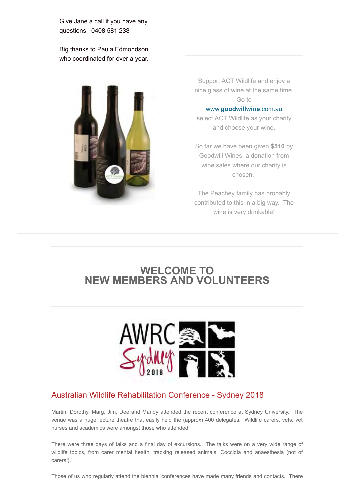Give Jane a call if you have any questions. 0408 581 233

Big thanks to Paula Edmondson who coordinated for over a year.



Support ACT Wildlife and enjoy a nice glass of wine at the same time. Go to

#### www.**[goodwillwine](http://www.goodwillwine.com.au/)**.com.au

select ACT Wildlife as your charity and choose your wine.

So far we have been given **\$510** by Goodwill Wines, a donation from wine sales where our charity is chosen.

The Peachey family has probably contributed to this in a big way. The wine is very drinkable!

# **WELCOME TO NEW MEMBERS AND VOLUNTEERS**



#### Australian Wildlife Rehabilitation Conference - Sydney 2018

Martin, Dorothy, Marg, Jim, Dee and Mandy attended the recent conference at Sydney University. The venue was a huge lecture theatre that easily held the (approx) 400 delegates. Wildlife carers, vets, vet nurses and academics were amongst those who attended.

There were three days of talks and a final day of excursions. The talks were on a very wide range of wildlife topics, from carer mental health, tracking released animals, Coccidia and anaesthesia (not of carers!).

Those of us who regularly attend the biennial conferences have made many friends and contacts. There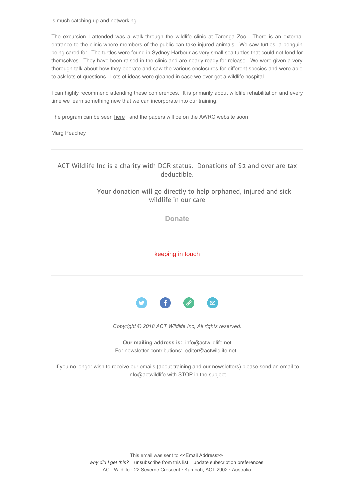is much catching up and networking.

The excursion I attended was a walk-through the wildlife clinic at Taronga Zoo. There is an external entrance to the clinic where members of the public can take injured animals. We saw turtles, a penguin being cared for. The turtles were found in Sydney Harbour as very small sea turtles that could not fend for themselves. They have been raised in the clinic and are nearly ready for release. We were given a very thorough talk about how they operate and saw the various enclosures for different species and were able to ask lots of questions. Lots of ideas were gleaned in case we ever get a wildlife hospital.

I can highly recommend attending these conferences. It is primarily about wildlife rehabilitation and every time we learn something new that we can incorporate into our training.

The program can be seen [here](https://sydney.awrc.org.au/eprogram.html) and the papers will be on the AWRC website soon

Marg Peachey

ACT Wildlife Inc is a charity with DGR status. Donations of \$2 and over are tax deductible.

#### Your donation will go directly to help orphaned, injured and sick wildlife in our care

**[Donate](http://actwildlife.net/donation-info.html)**

keeping in touch



*Copyright © 2018 ACT Wildlife Inc, All rights reserved.*

**Our mailing address is:** [info@actwildlife.net](mailto:info@actwildlife.net)  For newsletter contributions:  [editor@actwildlife.net](mailto:editor@actwildlife.net)

If you no longer wish to receive our emails (about training and our newsletters) please send an email to info@actwildlife with STOP in the subject